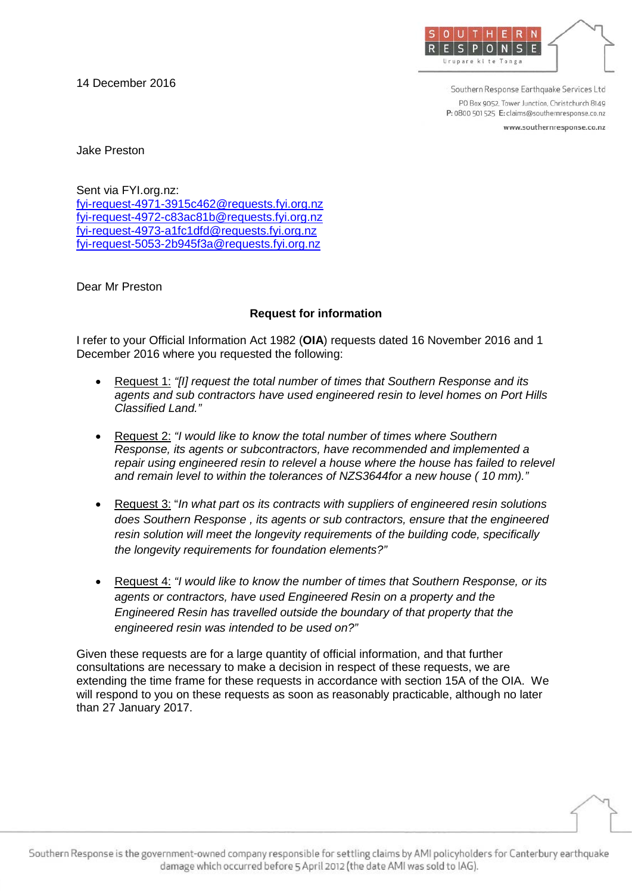14 December 2016



Southern Response Earthquake Services Ltd PO Box 9052, Tower Junction, Christchurch 8149 P: 0800 501 525 E: claims@southernresponse.co.nz

www.southernresponse.co.nz

Jake Preston

Sent via FYI.org.nz: [fyi-request-4971-3915c462@requests.fyi.org.nz](mailto:xxxxxxxxxxxxxxxxxxxxxxxxx@xxxxxxxx.xxx.xxx.xx) [fyi-request-4972-c83ac81b@requests.fyi.org.nz](mailto:xxxxxxxxxxxxxxxxxxxxxxxxx@xxxxxxxx.xxx.xxx.xx) [fyi-request-4973-a1fc1dfd@requests.fyi.org.nz](mailto:xxxxxxxxxxxxxxxxxxxxxxxxx@xxxxxxxx.xxx.xxx.xx) [fyi-request-5053-2b945f3a@requests.fyi.org.nz](mailto:xxxxxxxxxxxxxxxxxxxxxxxxx@xxxxxxxx.xxx.xxx.xx)

Dear Mr Preston

## **Request for information**

I refer to your Official Information Act 1982 (**OIA**) requests dated 16 November 2016 and 1 December 2016 where you requested the following:

- Request 1: *"[I] request the total number of times that Southern Response and its agents and sub contractors have used engineered resin to level homes on Port Hills Classified Land."*
- Request 2: *"I would like to know the total number of times where Southern Response, its agents or subcontractors, have recommended and implemented a repair using engineered resin to relevel a house where the house has failed to relevel and remain level to within the tolerances of NZS3644for a new house ( 10 mm)."*
- Request 3: "*In what part os its contracts with suppliers of engineered resin solutions does Southern Response , its agents or sub contractors, ensure that the engineered resin solution will meet the longevity requirements of the building code, specifically the longevity requirements for foundation elements?"*
- Request 4: *"I would like to know the number of times that Southern Response, or its agents or contractors, have used Engineered Resin on a property and the Engineered Resin has travelled outside the boundary of that property that the engineered resin was intended to be used on?"*

Given these requests are for a large quantity of official information, and that further consultations are necessary to make a decision in respect of these requests, we are extending the time frame for these requests in accordance with section 15A of the OIA. We will respond to you on these requests as soon as reasonably practicable, although no later than 27 January 2017.